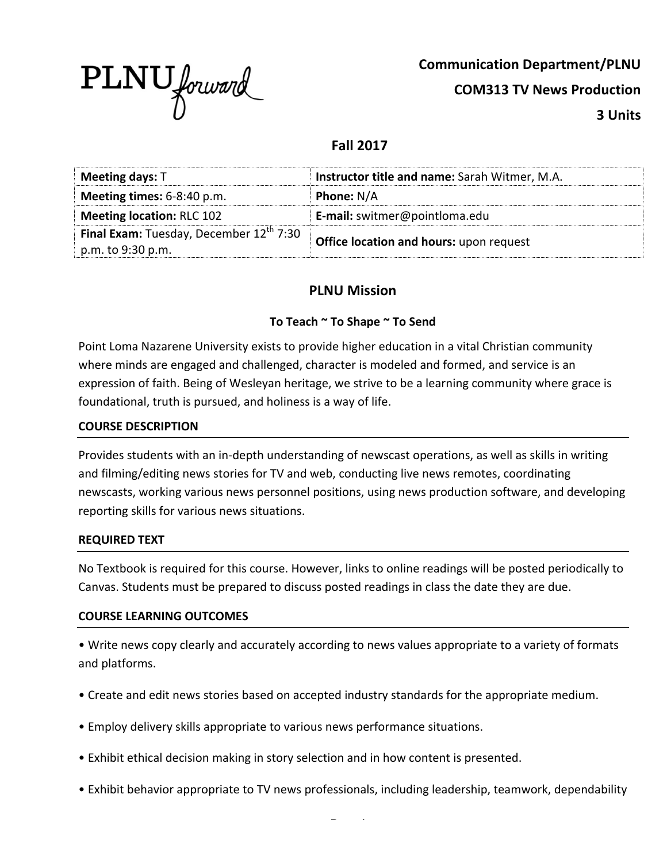

**Communication Department/PLNU**

**COM313 TV News Production**

**3 Units**

## **Fall 2017**

| <b>Meeting days: T</b>                                                     | Instructor title and name: Sarah Witmer, M.A.  |
|----------------------------------------------------------------------------|------------------------------------------------|
| <b>Meeting times:</b> $6-8:40$ p.m.                                        | <b>Phone: N/A</b>                              |
| Meeting location: RLC 102                                                  | E-mail: switmer@pointloma.edu                  |
| Final Exam: Tuesday, December $12^{\text{th}}$ 7:30<br>p.m. to $9:30$ p.m. | <b>Office location and hours: upon request</b> |

## **PLNU Mission**

### To Teach ~ To Shape ~ To Send

Point Loma Nazarene University exists to provide higher education in a vital Christian community where minds are engaged and challenged, character is modeled and formed, and service is an expression of faith. Being of Wesleyan heritage, we strive to be a learning community where grace is foundational, truth is pursued, and holiness is a way of life.

#### **COURSE DESCRIPTION**

Provides students with an in-depth understanding of newscast operations, as well as skills in writing and filming/editing news stories for TV and web, conducting live news remotes, coordinating newscasts, working various news personnel positions, using news production software, and developing reporting skills for various news situations.

#### **REQUIRED TEXT**

No Textbook is required for this course. However, links to online readings will be posted periodically to Canvas. Students must be prepared to discuss posted readings in class the date they are due.

#### **COURSE LEARNING OUTCOMES**

• Write news copy clearly and accurately according to news values appropriate to a variety of formats and platforms.

- Create and edit news stories based on accepted industry standards for the appropriate medium.
- Employ delivery skills appropriate to various news performance situations.
- Exhibit ethical decision making in story selection and in how content is presented.
- Exhibit behavior appropriate to TV news professionals, including leadership, teamwork, dependability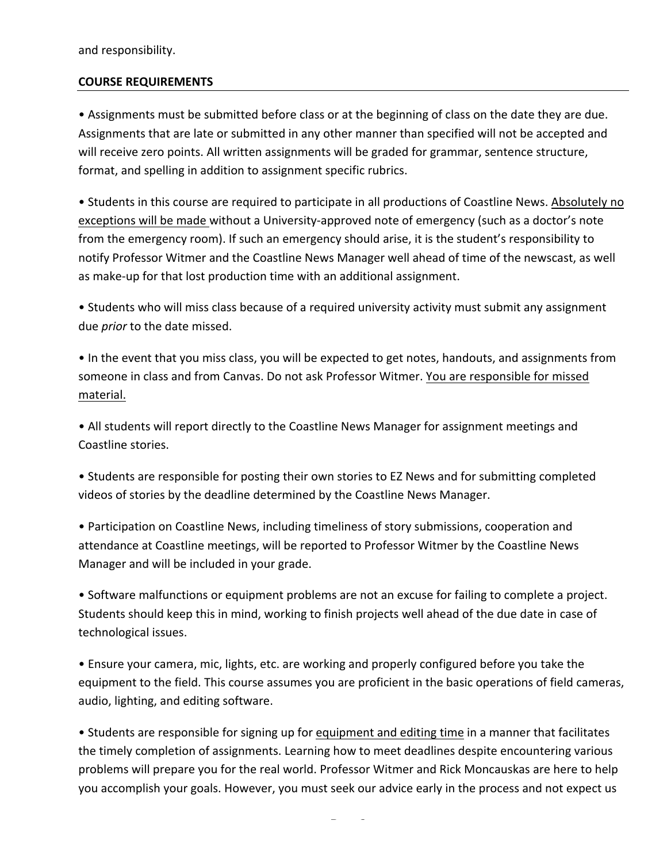and responsibility.

#### **COURSE REQUIREMENTS**

• Assignments must be submitted before class or at the beginning of class on the date they are due. Assignments that are late or submitted in any other manner than specified will not be accepted and will receive zero points. All written assignments will be graded for grammar, sentence structure, format, and spelling in addition to assignment specific rubrics.

• Students in this course are required to participate in all productions of Coastline News. Absolutely no exceptions will be made without a University-approved note of emergency (such as a doctor's note from the emergency room). If such an emergency should arise, it is the student's responsibility to notify Professor Witmer and the Coastline News Manager well ahead of time of the newscast, as well as make-up for that lost production time with an additional assignment.

• Students who will miss class because of a required university activity must submit any assignment due *prior* to the date missed.

• In the event that you miss class, you will be expected to get notes, handouts, and assignments from someone in class and from Canvas. Do not ask Professor Witmer. You are responsible for missed material.

• All students will report directly to the Coastline News Manager for assignment meetings and Coastline stories.

• Students are responsible for posting their own stories to EZ News and for submitting completed videos of stories by the deadline determined by the Coastline News Manager.

• Participation on Coastline News, including timeliness of story submissions, cooperation and attendance at Coastline meetings, will be reported to Professor Witmer by the Coastline News Manager and will be included in your grade.

• Software malfunctions or equipment problems are not an excuse for failing to complete a project. Students should keep this in mind, working to finish projects well ahead of the due date in case of technological issues.

• Ensure your camera, mic, lights, etc. are working and properly configured before you take the equipment to the field. This course assumes you are proficient in the basic operations of field cameras, audio, lighting, and editing software.

• Students are responsible for signing up for equipment and editing time in a manner that facilitates the timely completion of assignments. Learning how to meet deadlines despite encountering various problems will prepare you for the real world. Professor Witmer and Rick Moncauskas are here to help you accomplish your goals. However, you must seek our advice early in the process and not expect us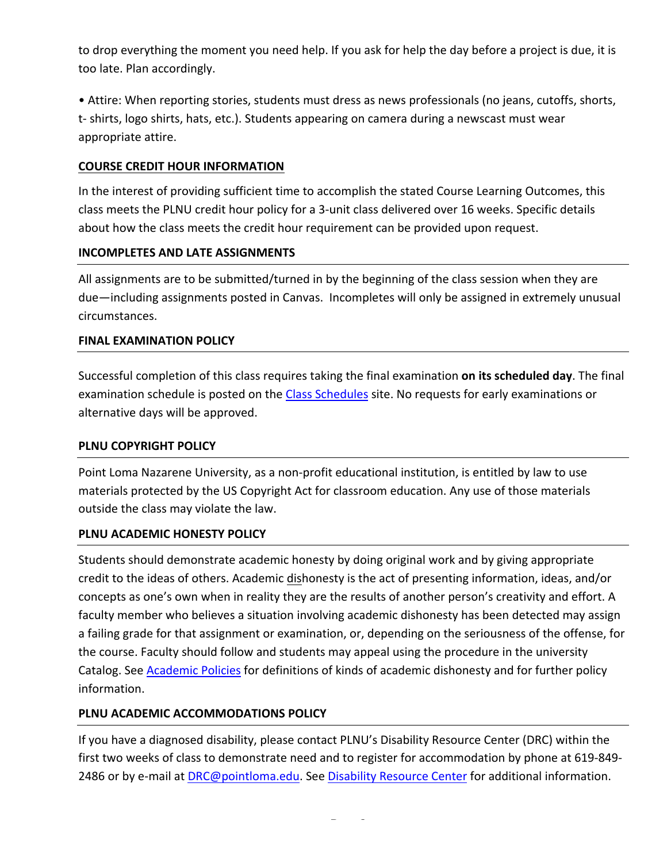to drop everything the moment you need help. If you ask for help the day before a project is due, it is too late. Plan accordingly.

• Attire: When reporting stories, students must dress as news professionals (no jeans, cutoffs, shorts, t- shirts, logo shirts, hats, etc.). Students appearing on camera during a newscast must wear appropriate attire.

### **COURSE CREDIT HOUR INFORMATION**

In the interest of providing sufficient time to accomplish the stated Course Learning Outcomes, this class meets the PLNU credit hour policy for a 3-unit class delivered over 16 weeks. Specific details about how the class meets the credit hour requirement can be provided upon request.

#### **INCOMPLETES AND LATE ASSIGNMENTS**

All assignments are to be submitted/turned in by the beginning of the class session when they are due—including assignments posted in Canvas. Incompletes will only be assigned in extremely unusual circumstances.

#### **FINAL EXAMINATION POLICY**

Successful completion of this class requires taking the final examination **on its scheduled day**. The final examination schedule is posted on the Class Schedules site. No requests for early examinations or alternative days will be approved.

#### **PLNU COPYRIGHT POLICY**

Point Loma Nazarene University, as a non-profit educational institution, is entitled by law to use materials protected by the US Copyright Act for classroom education. Any use of those materials outside the class may violate the law.

#### **PLNU ACADEMIC HONESTY POLICY**

Students should demonstrate academic honesty by doing original work and by giving appropriate credit to the ideas of others. Academic dishonesty is the act of presenting information, ideas, and/or concepts as one's own when in reality they are the results of another person's creativity and effort. A faculty member who believes a situation involving academic dishonesty has been detected may assign a failing grade for that assignment or examination, or, depending on the seriousness of the offense, for the course. Faculty should follow and students may appeal using the procedure in the university Catalog. See Academic Policies for definitions of kinds of academic dishonesty and for further policy information.

## **PLNU ACADEMIC ACCOMMODATIONS POLICY**

If you have a diagnosed disability, please contact PLNU's Disability Resource Center (DRC) within the first two weeks of class to demonstrate need and to register for accommodation by phone at 619-849-2486 or by e-mail at DRC@pointloma.edu. See Disability Resource Center for additional information.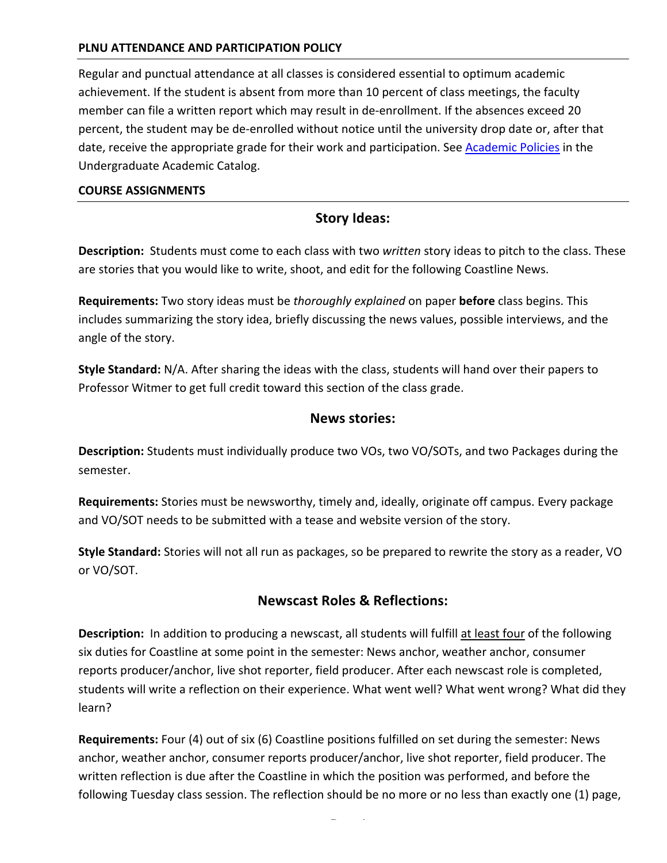## **PLNU ATTENDANCE AND PARTICIPATION POLICY**

Regular and punctual attendance at all classes is considered essential to optimum academic achievement. If the student is absent from more than 10 percent of class meetings, the faculty member can file a written report which may result in de-enrollment. If the absences exceed 20 percent, the student may be de-enrolled without notice until the university drop date or, after that date, receive the appropriate grade for their work and participation. See Academic Policies in the Undergraduate Academic Catalog.

#### **COURSE ASSIGNMENTS**

## **Story Ideas:**

**Description:** Students must come to each class with two written story ideas to pitch to the class. These are stories that you would like to write, shoot, and edit for the following Coastline News.

**Requirements:** Two story ideas must be *thoroughly explained* on paper **before** class begins. This includes summarizing the story idea, briefly discussing the news values, possible interviews, and the angle of the story.

**Style Standard:** N/A. After sharing the ideas with the class, students will hand over their papers to Professor Witmer to get full credit toward this section of the class grade.

## **News stories:**

**Description:** Students must individually produce two VOs, two VO/SOTs, and two Packages during the semester. 

**Requirements:** Stories must be newsworthy, timely and, ideally, originate off campus. Every package and VO/SOT needs to be submitted with a tease and website version of the story.

**Style Standard:** Stories will not all run as packages, so be prepared to rewrite the story as a reader, VO or VO/SOT.

## **Newscast Roles & Reflections:**

**Description:** In addition to producing a newscast, all students will fulfill at least four of the following six duties for Coastline at some point in the semester: News anchor, weather anchor, consumer reports producer/anchor, live shot reporter, field producer. After each newscast role is completed, students will write a reflection on their experience. What went well? What went wrong? What did they learn? 

**Requirements:** Four (4) out of six (6) Coastline positions fulfilled on set during the semester: News anchor, weather anchor, consumer reports producer/anchor, live shot reporter, field producer. The written reflection is due after the Coastline in which the position was performed, and before the following Tuesday class session. The reflection should be no more or no less than exactly one (1) page,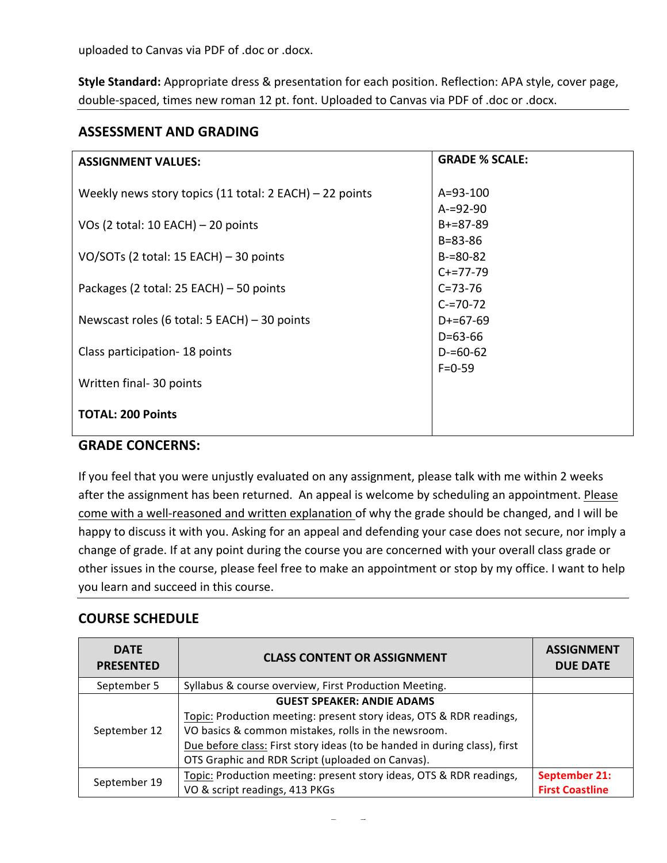uploaded to Canvas via PDF of .doc or .docx.

Style Standard: Appropriate dress & presentation for each position. Reflection: APA style, cover page, double-spaced, times new roman 12 pt. font. Uploaded to Canvas via PDF of .doc or .docx.

## **ASSESSMENT AND GRADING**

| <b>ASSIGNMENT VALUES:</b>                                 | <b>GRADE % SCALE:</b> |
|-----------------------------------------------------------|-----------------------|
|                                                           |                       |
| Weekly news story topics (11 total: $2$ EACH) – 22 points | $A = 93 - 100$        |
|                                                           | $A = 92 - 90$         |
| VOs (2 total: 10 EACH) $-$ 20 points                      | $B+=87-89$            |
|                                                           | $B = 83 - 86$         |
| VO/SOTs (2 total: 15 EACH) - 30 points                    | $B = 80 - 82$         |
|                                                           | $C+=77-79$            |
| Packages (2 total: 25 EACH) – 50 points                   | $C = 73 - 76$         |
|                                                           | $C = 70 - 72$         |
| Newscast roles (6 total: 5 EACH) $-$ 30 points            | $D+=67-69$            |
|                                                           | $D=63-66$             |
| Class participation - 18 points                           | $D = 60 - 62$         |
|                                                           | $F = 0 - 59$          |
| Written final- 30 points                                  |                       |
|                                                           |                       |
| <b>TOTAL: 200 Points</b>                                  |                       |
|                                                           |                       |

## **GRADE CONCERNS:**

If you feel that you were unjustly evaluated on any assignment, please talk with me within 2 weeks after the assignment has been returned. An appeal is welcome by scheduling an appointment. Please come with a well-reasoned and written explanation of why the grade should be changed, and I will be happy to discuss it with you. Asking for an appeal and defending your case does not secure, nor imply a change of grade. If at any point during the course you are concerned with your overall class grade or other issues in the course, please feel free to make an appointment or stop by my office. I want to help you learn and succeed in this course.

# **COURSE SCHEDULE**

| <b>DATE</b><br><b>PRESENTED</b> | <b>CLASS CONTENT OR ASSIGNMENT</b>                                        | <b>ASSIGNMENT</b><br><b>DUE DATE</b> |
|---------------------------------|---------------------------------------------------------------------------|--------------------------------------|
| September 5                     | Syllabus & course overview, First Production Meeting.                     |                                      |
|                                 | <b>GUEST SPEAKER: ANDIE ADAMS</b>                                         |                                      |
|                                 | Topic: Production meeting: present story ideas, OTS & RDR readings,       |                                      |
| September 12                    | VO basics & common mistakes, rolls in the newsroom.                       |                                      |
|                                 | Due before class: First story ideas (to be handed in during class), first |                                      |
|                                 | OTS Graphic and RDR Script (uploaded on Canvas).                          |                                      |
| September 19                    | Topic: Production meeting: present story ideas, OTS & RDR readings,       | September 21:                        |
|                                 | VO & script readings, 413 PKGs                                            | <b>First Coastline</b>               |